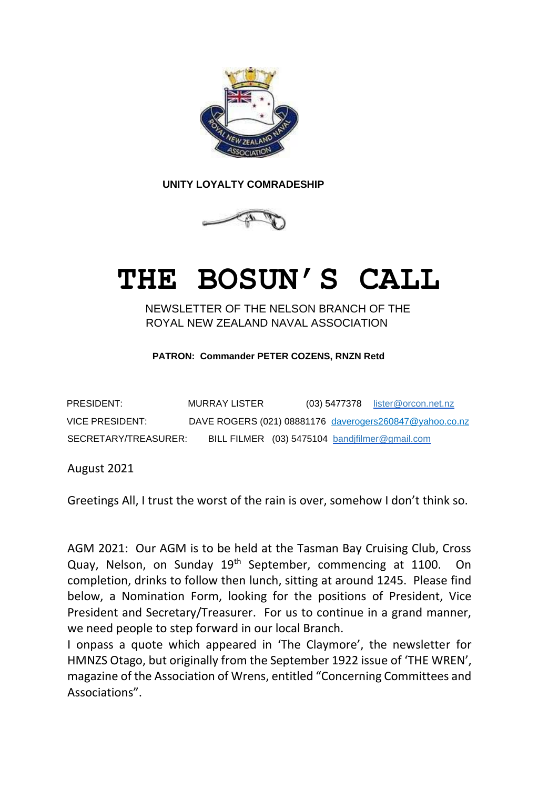

 **UNITY LOYALTY COMRADESHIP** 



# **THE BOSUN'S CALL**

NEWSLETTER OF THE NELSON BRANCH OF THE ROYAL NEW ZEALAND NAVAL ASSOCIATION

**PATRON: Commander PETER COZENS, RNZN Retd**

| PRESIDENT:           | MURRAY LISTER |                                                | $(03)$ 5477378 lister @orcon.net.nz                     |
|----------------------|---------------|------------------------------------------------|---------------------------------------------------------|
| VICE PRESIDENT:      |               |                                                | DAVE ROGERS (021) 08881176 daverogers260847@yahoo.co.nz |
| SECRETARY/TREASURER: |               | BILL FILMER (03) 5475104 bandjfilmer@gmail.com |                                                         |

August 2021

Greetings All, I trust the worst of the rain is over, somehow I don't think so.

AGM 2021: Our AGM is to be held at the Tasman Bay Cruising Club, Cross Quay, Nelson, on Sunday 19<sup>th</sup> September, commencing at 1100. On completion, drinks to follow then lunch, sitting at around 1245. Please find below, a Nomination Form, looking for the positions of President, Vice President and Secretary/Treasurer. For us to continue in a grand manner, we need people to step forward in our local Branch.

I onpass a quote which appeared in 'The Claymore', the newsletter for HMNZS Otago, but originally from the September 1922 issue of 'THE WREN', magazine of the Association of Wrens, entitled "Concerning Committees and Associations".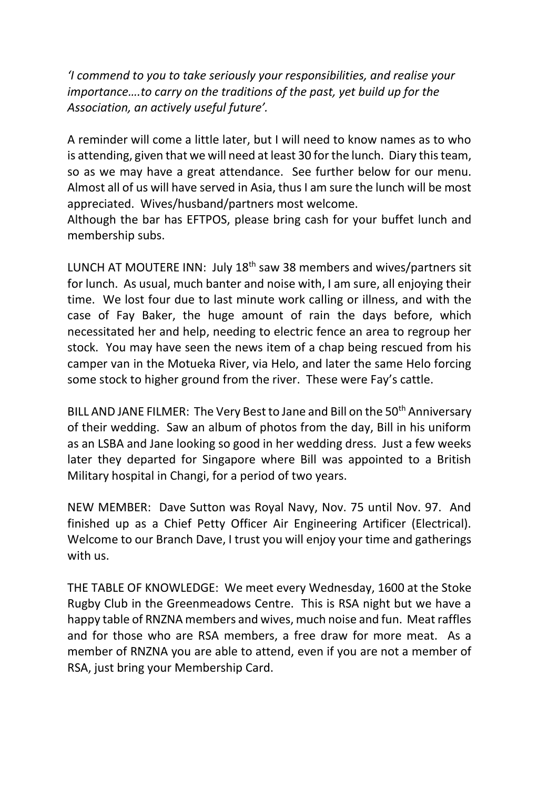*'I commend to you to take seriously your responsibilities, and realise your importance….to carry on the traditions of the past, yet build up for the Association, an actively useful future'.*

A reminder will come a little later, but I will need to know names as to who is attending, given that we will need at least 30 for the lunch. Diary this team, so as we may have a great attendance. See further below for our menu. Almost all of us will have served in Asia, thus I am sure the lunch will be most appreciated. Wives/husband/partners most welcome.

Although the bar has EFTPOS, please bring cash for your buffet lunch and membership subs.

LUNCH AT MOUTERE INN: July 18<sup>th</sup> saw 38 members and wives/partners sit for lunch. As usual, much banter and noise with, I am sure, all enjoying their time. We lost four due to last minute work calling or illness, and with the case of Fay Baker, the huge amount of rain the days before, which necessitated her and help, needing to electric fence an area to regroup her stock. You may have seen the news item of a chap being rescued from his camper van in the Motueka River, via Helo, and later the same Helo forcing some stock to higher ground from the river. These were Fay's cattle.

BILL AND JANE FILMER: The Very Best to Jane and Bill on the 50<sup>th</sup> Anniversary of their wedding. Saw an album of photos from the day, Bill in his uniform as an LSBA and Jane looking so good in her wedding dress. Just a few weeks later they departed for Singapore where Bill was appointed to a British Military hospital in Changi, for a period of two years.

NEW MEMBER: Dave Sutton was Royal Navy, Nov. 75 until Nov. 97. And finished up as a Chief Petty Officer Air Engineering Artificer (Electrical). Welcome to our Branch Dave, I trust you will enjoy your time and gatherings with us.

THE TABLE OF KNOWLEDGE: We meet every Wednesday, 1600 at the Stoke Rugby Club in the Greenmeadows Centre. This is RSA night but we have a happy table of RNZNA members and wives, much noise and fun. Meat raffles and for those who are RSA members, a free draw for more meat. As a member of RNZNA you are able to attend, even if you are not a member of RSA, just bring your Membership Card.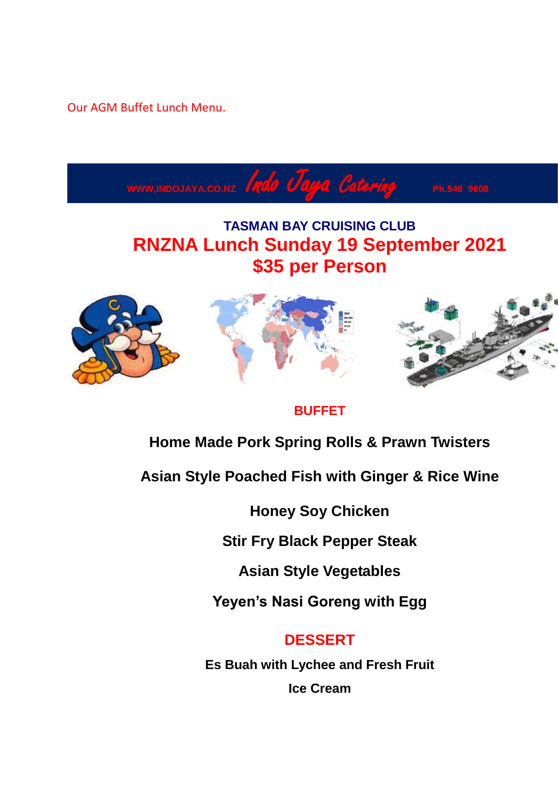Our AGM Buffet Lunch Menu.



### **BUFFET**

## **Home Made Pork Spring Rolls & Prawn Twisters**

**Asian Style Poached Fish with Ginger & Rice Wine**

**Honey Soy Chicken**

**Stir Fry Black Pepper Steak**

**Asian Style Vegetables**

**Yeyen's Nasi Goreng with Egg**

## **DESSERT**

**Es Buah with Lychee and Fresh Fruit Ice Cream**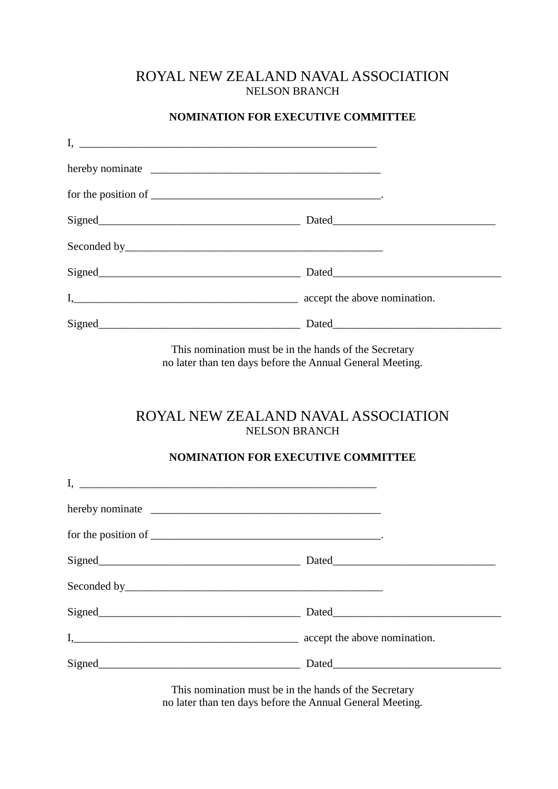#### ROYAL NEW ZEALAND NAVAL ASSOCIATION NELSON BRANCH

#### **NOMINATION FOR EXECUTIVE COMMITTEE**

| for the position of $\frac{1}{\sqrt{1-\frac{1}{\sqrt{1-\frac{1}{\sqrt{1-\frac{1}{\sqrt{1-\frac{1}{\sqrt{1-\frac{1}{\sqrt{1-\frac{1}{\sqrt{1-\frac{1}{\sqrt{1-\frac{1}{\sqrt{1-\frac{1}{\sqrt{1-\frac{1}{\sqrt{1-\frac{1}{\sqrt{1-\frac{1}{\sqrt{1-\frac{1}{\sqrt{1-\frac{1}{\sqrt{1-\frac{1}{\sqrt{1-\frac{1}{\sqrt{1-\frac{1}{\sqrt{1-\frac{1}{\sqrt{1-\frac{1}{\sqrt{1-\frac{1}{\sqrt{1-\frac{1}{\sqrt{1-\frac$ |                              |
|-------------------------------------------------------------------------------------------------------------------------------------------------------------------------------------------------------------------------------------------------------------------------------------------------------------------------------------------------------------------------------------------------------------------|------------------------------|
| Signed<br>Signed<br>Signed<br>Signed<br>Signed<br>Signed<br>Signed<br>Signed<br>Signed<br>Signed<br>Signed<br>Signed<br>Signed<br>Signed<br>Signed<br>Signed<br>Signed<br>Signed<br>Signed<br>Signed<br>Signed<br>Signed<br>Signed<br>Signed<br>Signed<br><br><br><br><br><br><br><br><br><br><br><br><br><br><br><br><br><br><br><br><br><br><br>                                                                |                              |
|                                                                                                                                                                                                                                                                                                                                                                                                                   |                              |
|                                                                                                                                                                                                                                                                                                                                                                                                                   |                              |
| $I, \underline{\hspace{2cm}}$                                                                                                                                                                                                                                                                                                                                                                                     | accept the above nomination. |
| Signed<br><u>Signed</u>                                                                                                                                                                                                                                                                                                                                                                                           |                              |

This nomination must be in the hands of the Secretary no later than ten days before the Annual General Meeting.

## ROYAL NEW ZEALAND NAVAL ASSOCIATION NELSON BRANCH

#### **NOMINATION FOR EXECUTIVE COMMITTEE**

| for the position of $\frac{1}{\sqrt{1-\frac{1}{2}}}\left[\frac{1}{\sqrt{1-\frac{1}{2}}}\right]$ |                              |
|-------------------------------------------------------------------------------------------------|------------------------------|
|                                                                                                 |                              |
|                                                                                                 |                              |
|                                                                                                 |                              |
|                                                                                                 | accept the above nomination. |
| Signed Signed                                                                                   | Dated                        |

This nomination must be in the hands of the Secretary no later than ten days before the Annual General Meeting.